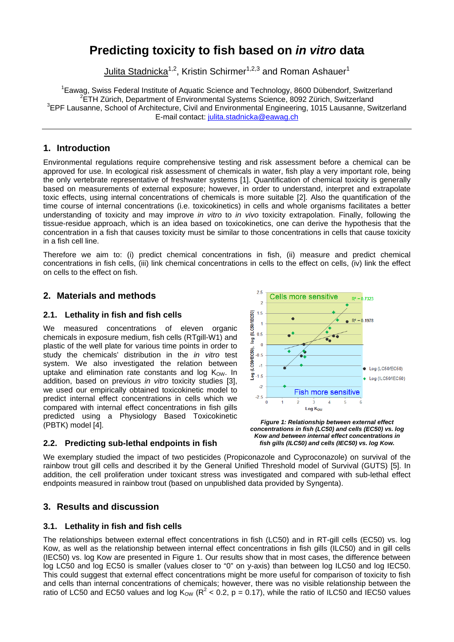# **Predicting toxicity to fish based on** *in vitro* **data**

Julita Stadnicka<sup>1,2</sup>, Kristin Schirmer<sup>1,2,3</sup> and Roman Ashauer<sup>1</sup>

<sup>1</sup> Eawag, Swiss Federal Institute of Aquatic Science and Technology, 8600 Dübendorf, Switzerland<br><sup>2</sup> ETH Zürich, Department of Environmental Systems Science, 8002 Zürich, Switzerland <sup>2</sup>ETH Zürich, Department of Environmental Systems Science, 8092 Zürich, Switzerland <sup>3</sup>EPF Lausanne, School of Architecture, Civil and Environmental Engineering, 1015 Lausanne, Switzerland E-mail contact: julita.stadnicka@eawag.ch

#### **1. Introduction**

Environmental regulations require comprehensive testing and risk assessment before a chemical can be approved for use. In ecological risk assessment of chemicals in water, fish play a very important role, being the only vertebrate representative of freshwater systems [1]. Quantification of chemical toxicity is generally based on measurements of external exposure; however, in order to understand, interpret and extrapolate toxic effects, using internal concentrations of chemicals is more suitable [2]. Also the quantification of the time course of internal concentrations (i.e. toxicokinetics) in cells and whole organisms facilitates a better understanding of toxicity and may improve *in vitro* to *in vivo* toxicity extrapolation. Finally, following the tissue-residue approach, which is an idea based on toxicokinetics, one can derive the hypothesis that the concentration in a fish that causes toxicity must be similar to those concentrations in cells that cause toxicity in a fish cell line.

Therefore we aim to: (i) predict chemical concentrations in fish, (ii) measure and predict chemical concentrations in fish cells, (iii) link chemical concentrations in cells to the effect on cells, (iv) link the effect on cells to the effect on fish.

# **2. Materials and methods**

#### **2.1. Lethality in fish and fish cells**

We measured concentrations of eleven organic chemicals in exposure medium, fish cells (RTgill-W1) and plastic of the well plate for various time points in order to study the chemicals' distribution in the *in vitro* test system. We also investigated the relation between uptake and elimination rate constants and log  $K_{\text{OW}}$ . In addition, based on previous *in vitro* toxicity studies [3], we used our empirically obtained toxicokinetic model to predict internal effect concentrations in cells which we compared with internal effect concentrations in fish gills predicted using a Physiology Based Toxicokinetic (PBTK) model [4].



#### **2.2. Predicting sub-lethal endpoints in fish**

*Figure 1: Relationship between external effect concentrations in fish (LC50) and cells (EC50) vs. log Kow and between internal effect concentrations in fish gills (ILC50) and cells (IEC50) vs. log Kow.* 

We exemplary studied the impact of two pesticides (Propiconazole and Cyproconazole) on survival of the rainbow trout gill cells and described it by the General Unified Threshold model of Survival (GUTS) [5]. In addition, the cell proliferation under toxicant stress was investigated and compared with sub-lethal effect endpoints measured in rainbow trout (based on unpublished data provided by Syngenta).

# **3. Results and discussion**

#### **3.1. Lethality in fish and fish cells**

The relationships between external effect concentrations in fish (LC50) and in RT-gill cells (EC50) vs. log Kow, as well as the relationship between internal effect concentrations in fish gills (ILC50) and in gill cells (IEC50) vs. log Kow are presented in Figure 1. Our results show that in most cases, the difference between log LC50 and log EC50 is smaller (values closer to "0" on y-axis) than between log ILC50 and log IEC50. This could suggest that external effect concentrations might be more useful for comparison of toxicity to fish and cells than internal concentrations of chemicals; however, there was no visible relationship between the ratio of LC50 and EC50 values and log K<sub>ow</sub> (R<sup>2</sup> < 0.2, p = 0.17), while the ratio of ILC50 and IEC50 values